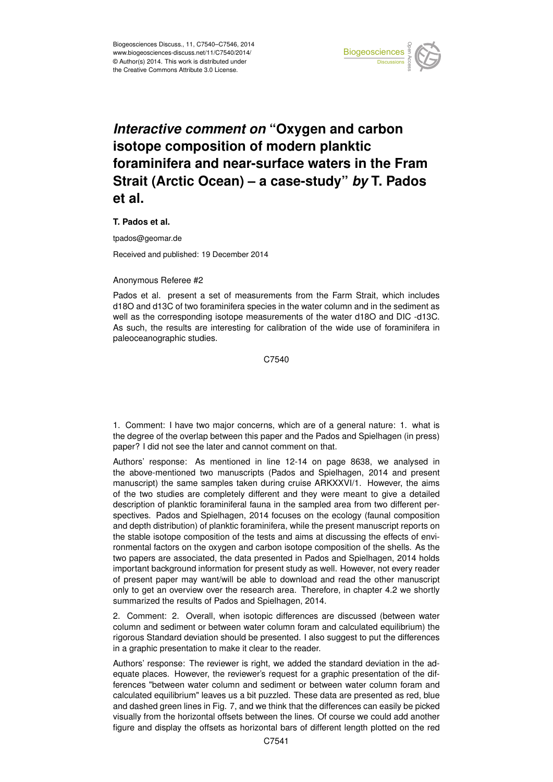

## *Interactive comment on* **"Oxygen and carbon isotope composition of modern planktic foraminifera and near-surface waters in the Fram Strait (Arctic Ocean) – a case-study"** *by* **T. Pados et al.**

## **T. Pados et al.**

tpados@geomar.de

Received and published: 19 December 2014

## Anonymous Referee #2

Pados et al. present a set of measurements from the Farm Strait, which includes d18O and d13C of two foraminifera species in the water column and in the sediment as well as the corresponding isotope measurements of the water d18O and DIC -d13C. As such, the results are interesting for calibration of the wide use of foraminifera in paleoceanographic studies.

C7540

1. Comment: I have two major concerns, which are of a general nature: 1. what is the degree of the overlap between this paper and the Pados and Spielhagen (in press) paper? I did not see the later and cannot comment on that.

Authors' response: As mentioned in line 12-14 on page 8638, we analysed in the above-mentioned two manuscripts (Pados and Spielhagen, 2014 and present manuscript) the same samples taken during cruise ARKXXVI/1. However, the aims of the two studies are completely different and they were meant to give a detailed description of planktic foraminiferal fauna in the sampled area from two different perspectives. Pados and Spielhagen, 2014 focuses on the ecology (faunal composition and depth distribution) of planktic foraminifera, while the present manuscript reports on the stable isotope composition of the tests and aims at discussing the effects of environmental factors on the oxygen and carbon isotope composition of the shells. As the two papers are associated, the data presented in Pados and Spielhagen, 2014 holds important background information for present study as well. However, not every reader of present paper may want/will be able to download and read the other manuscript only to get an overview over the research area. Therefore, in chapter 4.2 we shortly summarized the results of Pados and Spielhagen, 2014.

2. Comment: 2. Overall, when isotopic differences are discussed (between water column and sediment or between water column foram and calculated equilibrium) the rigorous Standard deviation should be presented. I also suggest to put the differences in a graphic presentation to make it clear to the reader.

Authors' response: The reviewer is right, we added the standard deviation in the adequate places. However, the reviewer's request for a graphic presentation of the differences "between water column and sediment or between water column foram and calculated equilibrium" leaves us a bit puzzled. These data are presented as red, blue and dashed green lines in Fig. 7, and we think that the differences can easily be picked visually from the horizontal offsets between the lines. Of course we could add another figure and display the offsets as horizontal bars of different length plotted on the red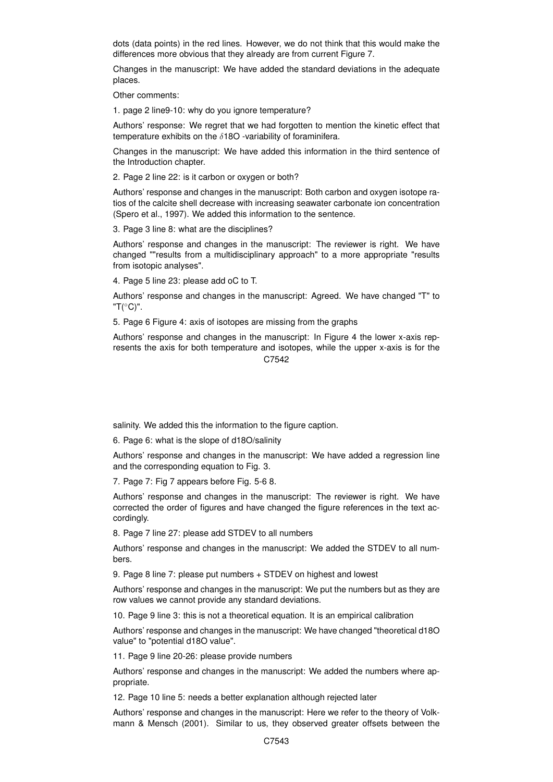dots (data points) in the red lines. However, we do not think that this would make the differences more obvious that they already are from current Figure 7.

Changes in the manuscript: We have added the standard deviations in the adequate places.

Other comments:

1. page 2 line9-10: why do you ignore temperature?

Authors' response: We regret that we had forgotten to mention the kinetic effect that temperature exhibits on the  $\delta$ 180 -variability of foraminifera.

Changes in the manuscript: We have added this information in the third sentence of the Introduction chapter.

2. Page 2 line 22: is it carbon or oxygen or both?

Authors' response and changes in the manuscript: Both carbon and oxygen isotope ratios of the calcite shell decrease with increasing seawater carbonate ion concentration (Spero et al., 1997). We added this information to the sentence.

3. Page 3 line 8: what are the disciplines?

Authors' response and changes in the manuscript: The reviewer is right. We have changed ""results from a multidisciplinary approach" to a more appropriate "results from isotopic analyses".

4. Page 5 line 23: please add oC to T.

Authors' response and changes in the manuscript: Agreed. We have changed "T" to "T(◦C)".

5. Page 6 Figure 4: axis of isotopes are missing from the graphs

Authors' response and changes in the manuscript: In Figure 4 the lower x-axis represents the axis for both temperature and isotopes, while the upper x-axis is for the C7542

salinity. We added this the information to the figure caption.

6. Page 6: what is the slope of d18O/salinity

Authors' response and changes in the manuscript: We have added a regression line and the corresponding equation to Fig. 3.

7. Page 7: Fig 7 appears before Fig. 5-6 8.

Authors' response and changes in the manuscript: The reviewer is right. We have corrected the order of figures and have changed the figure references in the text accordingly.

8. Page 7 line 27: please add STDEV to all numbers

Authors' response and changes in the manuscript: We added the STDEV to all numbers.

9. Page 8 line 7: please put numbers + STDEV on highest and lowest

Authors' response and changes in the manuscript: We put the numbers but as they are row values we cannot provide any standard deviations.

10. Page 9 line 3: this is not a theoretical equation. It is an empirical calibration

Authors' response and changes in the manuscript: We have changed "theoretical d18O value" to "potential d18O value".

11. Page 9 line 20-26: please provide numbers

Authors' response and changes in the manuscript: We added the numbers where appropriate.

12. Page 10 line 5: needs a better explanation although rejected later

Authors' response and changes in the manuscript: Here we refer to the theory of Volkmann & Mensch (2001). Similar to us, they observed greater offsets between the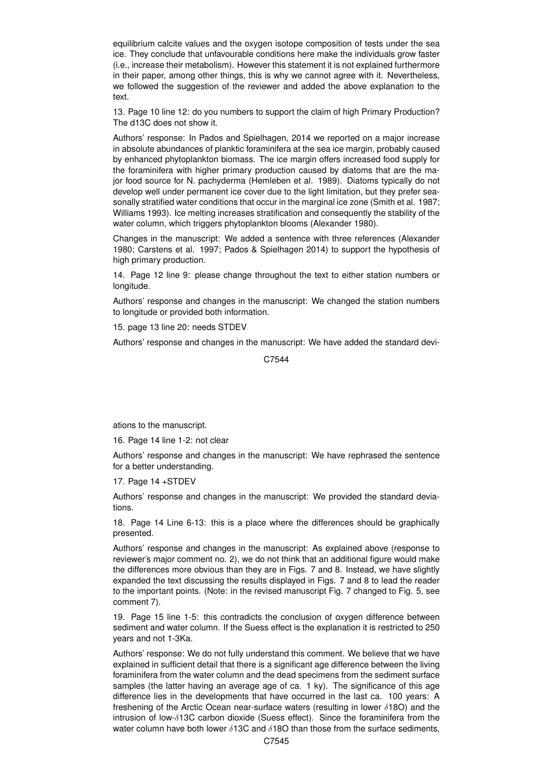equilibrium calcite values and the oxygen isotope composition of tests under the sea ice. They conclude that unfavourable conditions here make the individuals grow faster (i.e., increase their metabolism). However this statement it is not explained furthermore in their paper, among other things, this is why we cannot agree with it. Nevertheless, we followed the suggestion of the reviewer and added the above explanation to the text.

13. Page 10 line 12: do you numbers to support the claim of high Primary Production? The d13C does not show it.

Authors' response: In Pados and Spielhagen, 2014 we reported on a major increase in absolute abundances of planktic foraminifera at the sea ice margin, probably caused by enhanced phytoplankton biomass. The ice margin offers increased food supply for the foraminifera with higher primary production caused by diatoms that are the major food source for N. pachyderma (Hemleben et al. 1989). Diatoms typically do not develop well under permanent ice cover due to the light limitation, but they prefer seasonally stratified water conditions that occur in the marginal ice zone (Smith et al. 1987; Williams 1993). Ice melting increases stratification and consequently the stability of the water column, which triggers phytoplankton blooms (Alexander 1980).

Changes in the manuscript: We added a sentence with three references (Alexander 1980; Carstens et al. 1997; Pados & Spielhagen 2014) to support the hypothesis of high primary production.

14. Page 12 line 9: please change throughout the text to either station numbers or longitude.

Authors' response and changes in the manuscript: We changed the station numbers to longitude or provided both information.

15. page 13 line 20: needs STDEV

Authors' response and changes in the manuscript: We have added the standard devi-

C7544

ations to the manuscript.

16. Page 14 line 1-2: not clear

Authors' response and changes in the manuscript: We have rephrased the sentence for a better understanding.

17. Page 14 +STDEV

Authors' response and changes in the manuscript: We provided the standard deviations.

18. Page 14 Line 6-13: this is a place where the differences should be graphically presented.

Authors' response and changes in the manuscript: As explained above (response to reviewer's major comment no. 2), we do not think that an additional figure would make the differences more obvious than they are in Figs. 7 and 8. Instead, we have slightly expanded the text discussing the results displayed in Figs. 7 and 8 to lead the reader to the important points. (Note: in the revised manuscript Fig. 7 changed to Fig. 5, see comment 7).

19. Page 15 line 1-5: this contradicts the conclusion of oxygen difference between sediment and water column. If the Suess effect is the explanation it is restricted to 250 years and not 1-3Ka.

Authors' response: We do not fully understand this comment. We believe that we have explained in sufficient detail that there is a significant age difference between the living foraminifera from the water column and the dead specimens from the sediment surface samples (the latter having an average age of ca. 1 ky). The significance of this age difference lies in the developments that have occurred in the last ca. 100 years: A freshening of the Arctic Ocean near-surface waters (resulting in lower  $\delta$ 18O) and the intrusion of low- $\delta$ 13C carbon dioxide (Suess effect). Since the foraminifera from the water column have both lower  $\delta$ 13C and  $\delta$ 18O than those from the surface sediments,